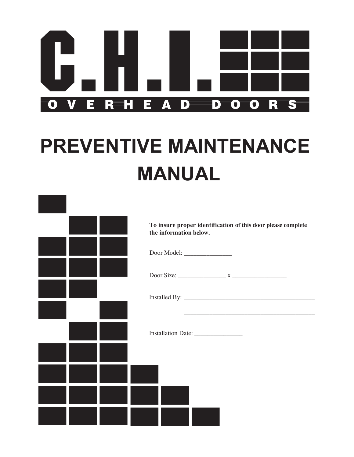

## **PREVENTIVE MAINTENANCE MANUAL**

|  | To insure proper identification of this door please complete<br>the information below. |
|--|----------------------------------------------------------------------------------------|
|  |                                                                                        |
|  |                                                                                        |
|  |                                                                                        |
|  |                                                                                        |
|  |                                                                                        |
|  |                                                                                        |
|  |                                                                                        |
|  |                                                                                        |
|  |                                                                                        |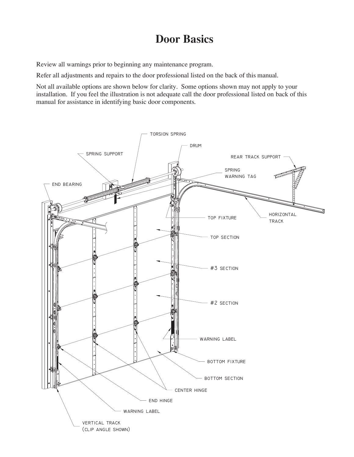## **Door Basics**

Review all warnings prior to beginning any maintenance program.

Refer all adjustments and repairs to the door professional listed on the back of this manual.

Not all available options are shown below for clarity. Some options shown may not apply to your installation. If you feel the illustration is not adequate call the door professional listed on back of this manual for assistance in identifying basic door components.